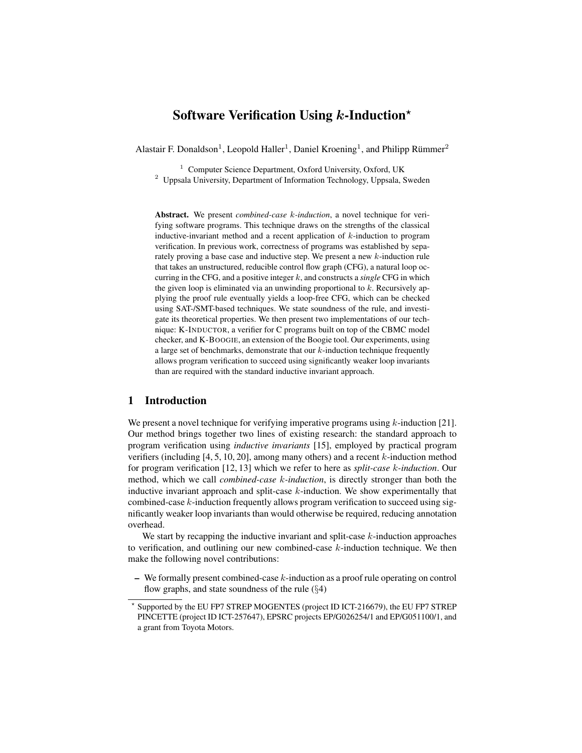# Software Verification Using  $k$ -Induction<sup>\*</sup>

Alastair F. Donaldson<sup>1</sup>, Leopold Haller<sup>1</sup>, Daniel Kroening<sup>1</sup>, and Philipp Rümmer<sup>2</sup>

<sup>1</sup> Computer Science Department, Oxford University, Oxford, UK

<sup>2</sup> Uppsala University, Department of Information Technology, Uppsala, Sweden

Abstract. We present *combined-case* k*-induction*, a novel technique for verifying software programs. This technique draws on the strengths of the classical inductive-invariant method and a recent application of  $k$ -induction to program verification. In previous work, correctness of programs was established by separately proving a base case and inductive step. We present a new k-induction rule that takes an unstructured, reducible control flow graph (CFG), a natural loop occurring in the CFG, and a positive integer k, and constructs a *single* CFG in which the given loop is eliminated via an unwinding proportional to  $k$ . Recursively applying the proof rule eventually yields a loop-free CFG, which can be checked using SAT-/SMT-based techniques. We state soundness of the rule, and investigate its theoretical properties. We then present two implementations of our technique: K-INDUCTOR, a verifier for C programs built on top of the CBMC model checker, and K-BOOGIE, an extension of the Boogie tool. Our experiments, using a large set of benchmarks, demonstrate that our  $k$ -induction technique frequently allows program verification to succeed using significantly weaker loop invariants than are required with the standard inductive invariant approach.

### 1 Introduction

We present a novel technique for verifying imperative programs using  $k$ -induction [21]. Our method brings together two lines of existing research: the standard approach to program verification using *inductive invariants* [15], employed by practical program verifiers (including [4, 5, 10, 20], among many others) and a recent k-induction method for program verification [12, 13] which we refer to here as *split-case* k*-induction*. Our method, which we call *combined-case* k*-induction*, is directly stronger than both the inductive invariant approach and split-case  $k$ -induction. We show experimentally that combined-case  $k$ -induction frequently allows program verification to succeed using significantly weaker loop invariants than would otherwise be required, reducing annotation overhead.

We start by recapping the inductive invariant and split-case  $k$ -induction approaches to verification, and outlining our new combined-case  $k$ -induction technique. We then make the following novel contributions:

 $-$  We formally present combined-case  $k$ -induction as a proof rule operating on control flow graphs, and state soundness of the rule  $(\S4)$ 

<sup>?</sup> Supported by the EU FP7 STREP MOGENTES (project ID ICT-216679), the EU FP7 STREP PINCETTE (project ID ICT-257647), EPSRC projects EP/G026254/1 and EP/G051100/1, and a grant from Toyota Motors.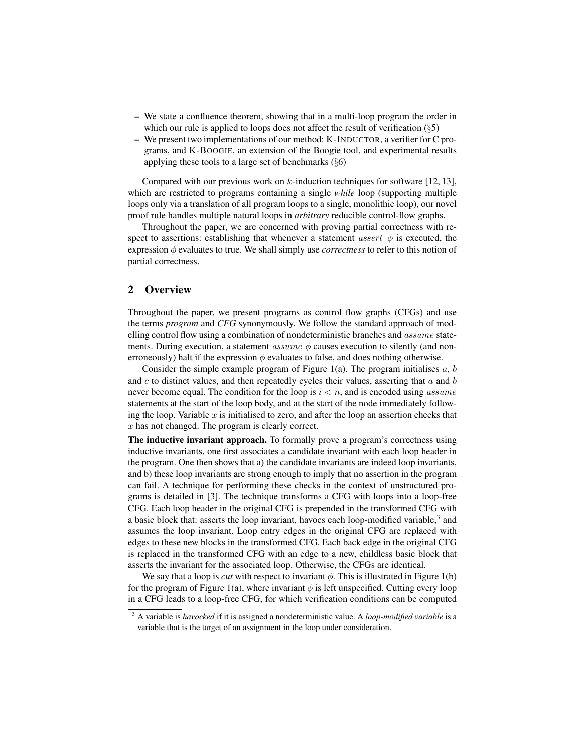- We state a confluence theorem, showing that in a multi-loop program the order in which our rule is applied to loops does not affect the result of verification  $(\S5)$
- We present two implementations of our method: K-INDUCTOR, a verifier for C programs, and K-BOOGIE, an extension of the Boogie tool, and experimental results applying these tools to a large set of benchmarks (§6)

Compared with our previous work on  $k$ -induction techniques for software [12, 13], which are restricted to programs containing a single *while* loop (supporting multiple loops only via a translation of all program loops to a single, monolithic loop), our novel proof rule handles multiple natural loops in *arbitrary* reducible control-flow graphs.

Throughout the paper, we are concerned with proving partial correctness with respect to assertions: establishing that whenever a statement *assert*  $\phi$  is executed, the expression φ evaluates to true. We shall simply use *correctness* to refer to this notion of partial correctness.

### 2 Overview

Throughout the paper, we present programs as control flow graphs (CFGs) and use the terms *program* and *CFG* synonymously. We follow the standard approach of modelling control flow using a combination of nondeterministic branches and *assume* statements. During execution, a statement *assume*  $\phi$  causes execution to silently (and nonerroneously) halt if the expression  $\phi$  evaluates to false, and does nothing otherwise.

Consider the simple example program of Figure 1(a). The program initialises  $a, b$ and  $c$  to distinct values, and then repeatedly cycles their values, asserting that  $a$  and  $b$ never become equal. The condition for the loop is  $i < n$ , and is encoded using *assume* statements at the start of the loop body, and at the start of the node immediately following the loop. Variable  $x$  is initialised to zero, and after the loop an assertion checks that x has not changed. The program is clearly correct.

The inductive invariant approach. To formally prove a program's correctness using inductive invariants, one first associates a candidate invariant with each loop header in the program. One then shows that a) the candidate invariants are indeed loop invariants, and b) these loop invariants are strong enough to imply that no assertion in the program can fail. A technique for performing these checks in the context of unstructured programs is detailed in [3]. The technique transforms a CFG with loops into a loop-free CFG. Each loop header in the original CFG is prepended in the transformed CFG with a basic block that: asserts the loop invariant, havocs each loop-modified variable, $3$  and assumes the loop invariant. Loop entry edges in the original CFG are replaced with edges to these new blocks in the transformed CFG. Each back edge in the original CFG is replaced in the transformed CFG with an edge to a new, childless basic block that asserts the invariant for the associated loop. Otherwise, the CFGs are identical.

We say that a loop is *cut* with respect to invariant  $\phi$ . This is illustrated in Figure 1(b) for the program of Figure 1(a), where invariant  $\phi$  is left unspecified. Cutting every loop in a CFG leads to a loop-free CFG, for which verification conditions can be computed

<sup>3</sup> A variable is *havocked* if it is assigned a nondeterministic value. A *loop-modified variable* is a variable that is the target of an assignment in the loop under consideration.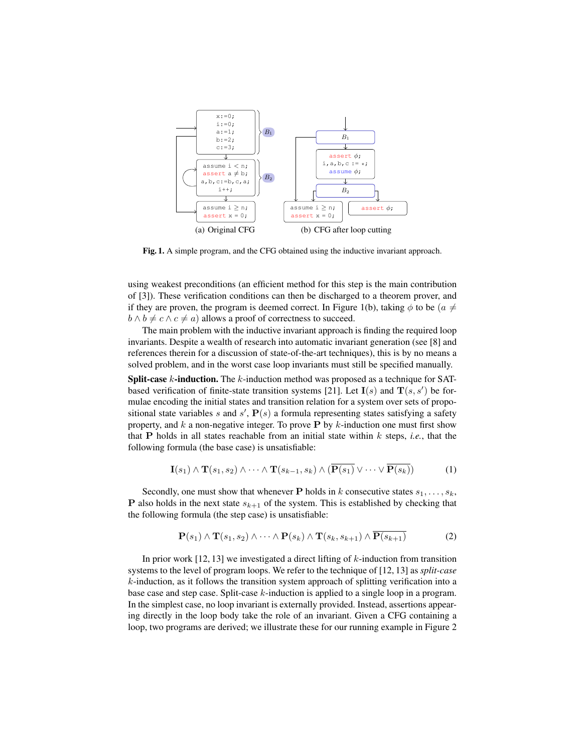

Fig. 1. A simple program, and the CFG obtained using the inductive invariant approach.

using weakest preconditions (an efficient method for this step is the main contribution of [3]). These verification conditions can then be discharged to a theorem prover, and if they are proven, the program is deemed correct. In Figure 1(b), taking  $\phi$  to be ( $a \neq$  $b \wedge b \neq c \wedge c \neq a$ ) allows a proof of correctness to succeed.

The main problem with the inductive invariant approach is finding the required loop invariants. Despite a wealth of research into automatic invariant generation (see [8] and references therein for a discussion of state-of-the-art techniques), this is by no means a solved problem, and in the worst case loop invariants must still be specified manually.

**Split-case**  $k$ -induction. The  $k$ -induction method was proposed as a technique for SATbased verification of finite-state transition systems [21]. Let  $I(s)$  and  $T(s, s')$  be formulae encoding the initial states and transition relation for a system over sets of propositional state variables s and  $s'$ ,  $P(s)$  a formula representing states satisfying a safety property, and k a non-negative integer. To prove  $P$  by k-induction one must first show that P holds in all states reachable from an initial state within  $k$  steps, *i.e.*, that the following formula (the base case) is unsatisfiable:

$$
\mathbf{I}(s_1) \wedge \mathbf{T}(s_1, s_2) \wedge \cdots \wedge \mathbf{T}(s_{k-1}, s_k) \wedge (\overline{\mathbf{P}(s_1)} \vee \cdots \vee \overline{\mathbf{P}(s_k)})
$$
(1)

Secondly, one must show that whenever **P** holds in k consecutive states  $s_1, \ldots, s_k$ , **P** also holds in the next state  $s_{k+1}$  of the system. This is established by checking that the following formula (the step case) is unsatisfiable:

$$
\mathbf{P}(s_1) \wedge \mathbf{T}(s_1, s_2) \wedge \cdots \wedge \mathbf{P}(s_k) \wedge \mathbf{T}(s_k, s_{k+1}) \wedge \mathbf{P}(s_{k+1})
$$
 (2)

In prior work  $[12, 13]$  we investigated a direct lifting of k-induction from transition systems to the level of program loops. We refer to the technique of [12, 13] as *split-case*  $k$ -induction, as it follows the transition system approach of splitting verification into a base case and step case. Split-case k-induction is applied to a single loop in a program. In the simplest case, no loop invariant is externally provided. Instead, assertions appearing directly in the loop body take the role of an invariant. Given a CFG containing a loop, two programs are derived; we illustrate these for our running example in Figure 2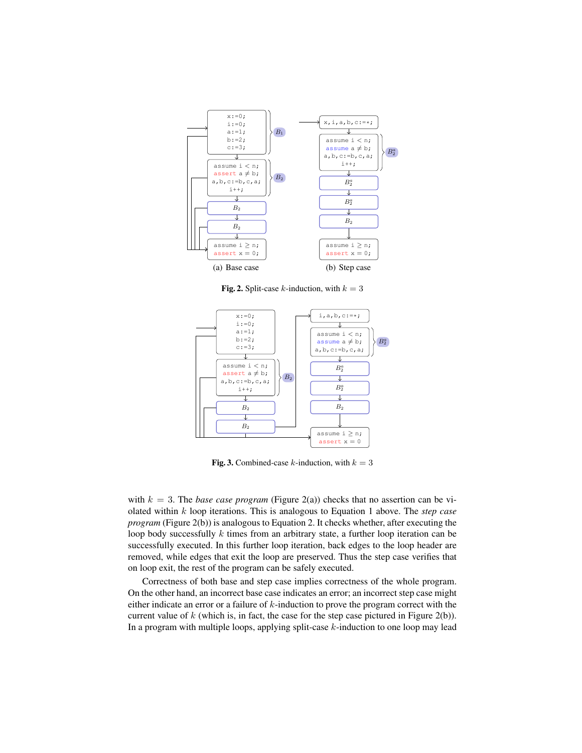

Fig. 2. Split-case k-induction, with  $k = 3$ 



Fig. 3. Combined-case k-induction, with  $k = 3$ 

with  $k = 3$ . The *base case program* (Figure 2(a)) checks that no assertion can be violated within k loop iterations. This is analogous to Equation 1 above. The *step case program* (Figure 2(b)) is analogous to Equation 2. It checks whether, after executing the loop body successfully k times from an arbitrary state, a further loop iteration can be successfully executed. In this further loop iteration, back edges to the loop header are removed, while edges that exit the loop are preserved. Thus the step case verifies that on loop exit, the rest of the program can be safely executed.

Correctness of both base and step case implies correctness of the whole program. On the other hand, an incorrect base case indicates an error; an incorrect step case might either indicate an error or a failure of  $k$ -induction to prove the program correct with the current value of  $k$  (which is, in fact, the case for the step case pictured in Figure 2(b)). In a program with multiple loops, applying split-case  $k$ -induction to one loop may lead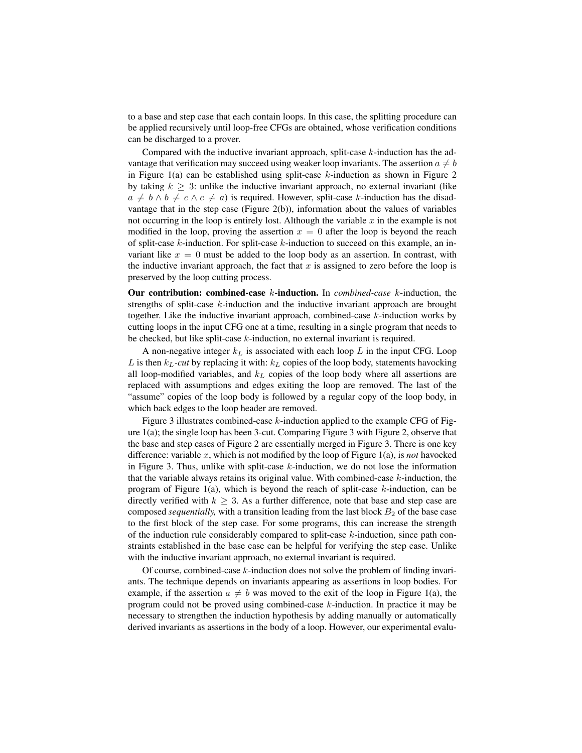to a base and step case that each contain loops. In this case, the splitting procedure can be applied recursively until loop-free CFGs are obtained, whose verification conditions can be discharged to a prover.

Compared with the inductive invariant approach, split-case  $k$ -induction has the advantage that verification may succeed using weaker loop invariants. The assertion  $a \neq b$ in Figure 1(a) can be established using split-case  $k$ -induction as shown in Figure 2 by taking  $k \geq 3$ : unlike the inductive invariant approach, no external invariant (like  $a \neq b \wedge b \neq c \wedge c \neq a$ ) is required. However, split-case k-induction has the disadvantage that in the step case (Figure 2(b)), information about the values of variables not occurring in the loop is entirely lost. Although the variable  $x$  in the example is not modified in the loop, proving the assertion  $x = 0$  after the loop is beyond the reach of split-case k-induction. For split-case k-induction to succeed on this example, an invariant like  $x = 0$  must be added to the loop body as an assertion. In contrast, with the inductive invariant approach, the fact that  $x$  is assigned to zero before the loop is preserved by the loop cutting process.

Our contribution: combined-case k-induction. In *combined-case* k-induction, the strengths of split-case  $k$ -induction and the inductive invariant approach are brought together. Like the inductive invariant approach, combined-case  $k$ -induction works by cutting loops in the input CFG one at a time, resulting in a single program that needs to be checked, but like split-case  $k$ -induction, no external invariant is required.

A non-negative integer  $k<sub>L</sub>$  is associated with each loop  $L$  in the input CFG. Loop L is then  $k<sub>L</sub>$ -cut by replacing it with:  $k<sub>L</sub>$  copies of the loop body, statements havocking all loop-modified variables, and  $k<sub>L</sub>$  copies of the loop body where all assertions are replaced with assumptions and edges exiting the loop are removed. The last of the "assume" copies of the loop body is followed by a regular copy of the loop body, in which back edges to the loop header are removed.

Figure 3 illustrates combined-case k-induction applied to the example CFG of Figure 1(a); the single loop has been 3-cut. Comparing Figure 3 with Figure 2, observe that the base and step cases of Figure 2 are essentially merged in Figure 3. There is one key difference: variable x, which is not modified by the loop of Figure 1(a), is *not* havocked in Figure 3. Thus, unlike with split-case  $k$ -induction, we do not lose the information that the variable always retains its original value. With combined-case  $k$ -induction, the program of Figure 1(a), which is beyond the reach of split-case  $k$ -induction, can be directly verified with  $k \geq 3$ . As a further difference, note that base and step case are composed *sequentially*, with a transition leading from the last block  $B_2$  of the base case to the first block of the step case. For some programs, this can increase the strength of the induction rule considerably compared to split-case  $k$ -induction, since path constraints established in the base case can be helpful for verifying the step case. Unlike with the inductive invariant approach, no external invariant is required.

Of course, combined-case  $k$ -induction does not solve the problem of finding invariants. The technique depends on invariants appearing as assertions in loop bodies. For example, if the assertion  $a \neq b$  was moved to the exit of the loop in Figure 1(a), the program could not be proved using combined-case k-induction. In practice it may be necessary to strengthen the induction hypothesis by adding manually or automatically derived invariants as assertions in the body of a loop. However, our experimental evalu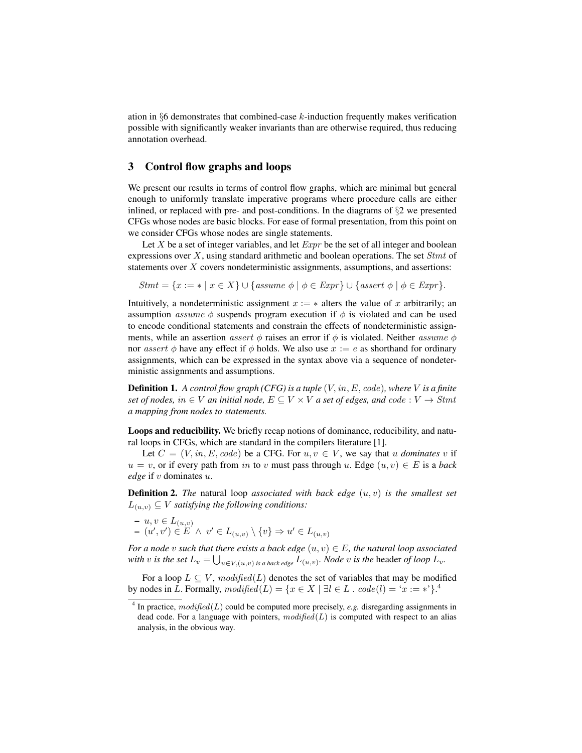ation in  $\S6$  demonstrates that combined-case k-induction frequently makes verification possible with significantly weaker invariants than are otherwise required, thus reducing annotation overhead.

# 3 Control flow graphs and loops

We present our results in terms of control flow graphs, which are minimal but general enough to uniformly translate imperative programs where procedure calls are either inlined, or replaced with pre- and post-conditions. In the diagrams of  $\S2$  we presented CFGs whose nodes are basic blocks. For ease of formal presentation, from this point on we consider CFGs whose nodes are single statements.

Let  $X$  be a set of integer variables, and let  $\mathbb{E}xpr$  be the set of all integer and boolean expressions over  $X$ , using standard arithmetic and boolean operations. The set  $S$ tmt of statements over  $X$  covers nondeterministic assignments, assumptions, and assertions:

$$
Stmt = \{x := * \mid x \in X\} \cup \{assume \phi \mid \phi \in Expr\} \cup \{assert \phi \mid \phi \in Expr\}.
$$

Intuitively, a nondeterministic assignment  $x := *$  alters the value of x arbitrarily; an assumption *assume*  $\phi$  suspends program execution if  $\phi$  is violated and can be used to encode conditional statements and constrain the effects of nondeterministic assignments, while an assertion *assert*  $\phi$  raises an error if  $\phi$  is violated. Neither *assume*  $\phi$ nor assert  $\phi$  have any effect if  $\phi$  holds. We also use  $x := e$  as shorthand for ordinary assignments, which can be expressed in the syntax above via a sequence of nondeterministic assignments and assumptions.

Definition 1. *A control flow graph (CFG) is a tuple* (V, in, E, code)*, where* V *is a finite set of nodes, in*  $\in$  *V an initial node,*  $E \subseteq V \times V$  *a set of edges, and code* :  $V \rightarrow S$ *tmt a mapping from nodes to statements.*

Loops and reducibility. We briefly recap notions of dominance, reducibility, and natural loops in CFGs, which are standard in the compilers literature [1].

Let  $C = (V, in, E, code)$  be a CFG. For  $u, v \in V$ , we say that u *dominates* v if  $u = v$ , or if every path from in to v must pass through u. Edge  $(u, v) \in E$  is a *back edge* if v dominates u.

Definition 2. *The* natural loop *associated with back edge* (u, v) *is the smallest set*  $L_{(u,v)} \subseteq V$  *satisfying the following conditions:* 

$$
- u, v \in L_{(u,v)}
$$
  
-  $(u', v') \in E \land v' \in L_{(u,v)} \setminus \{v\} \Rightarrow u' \in L_{(u,v)}$ 

*For a node* v such that there exists a back edge  $(u, v) \in E$ , the natural loop associated with v is the set  $L_v = \bigcup_{u \in V, (u,v) \text{ is a back edge}} L_{(u,v)}$ . Node v is the header of loop  $L_v$ .

For a loop  $L \subseteq V$ , modified(L) denotes the set of variables that may be modified by nodes in L. Formally,  $modified(L) = \{x \in X \mid \exists l \in L : code(l) = 'x := *'\}$ .

 $4$  In practice, modified( $L$ ) could be computed more precisely, *e.g.* disregarding assignments in dead code. For a language with pointers,  $modified(L)$  is computed with respect to an alias analysis, in the obvious way.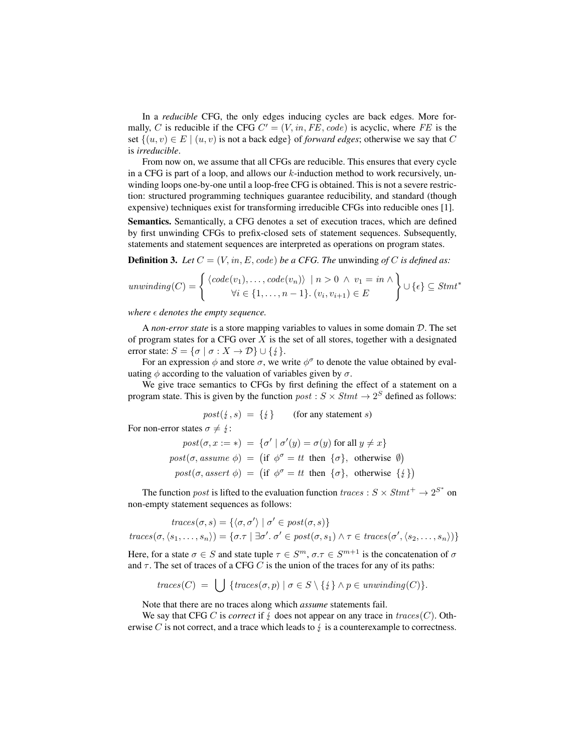In a *reducible* CFG, the only edges inducing cycles are back edges. More formally, C is reducible if the CFG  $C' = (V, in, FE, code)$  is acyclic, where FE is the set  $\{(u, v) \in E \mid (u, v) \text{ is not a back edge}\}\$  of *forward edges*; otherwise we say that C is *irreducible*.

From now on, we assume that all CFGs are reducible. This ensures that every cycle in a CFG is part of a loop, and allows our  $k$ -induction method to work recursively, unwinding loops one-by-one until a loop-free CFG is obtained. This is not a severe restriction: structured programming techniques guarantee reducibility, and standard (though expensive) techniques exist for transforming irreducible CFGs into reducible ones [1].

Semantics. Semantically, a CFG denotes a set of execution traces, which are defined by first unwinding CFGs to prefix-closed sets of statement sequences. Subsequently, statements and statement sequences are interpreted as operations on program states.

**Definition 3.** Let  $C = (V, in, E, code)$  be a CFG. The unwinding of C is defined as:

$$
unwinding(C) = \left\{ \begin{array}{l} \langle code(v_1), \dots, code(v_n) \rangle \mid n > 0 \ \land \ v_1 = in \ \land \\ \forall i \in \{1, \dots, n-1\}. \ (v_i, v_{i+1}) \in E \end{array} \right\} \cup \{\epsilon\} \subseteq Stmt^*
$$

*where*  $\epsilon$  *denotes the empty sequence.* 

A *non-error state* is a store mapping variables to values in some domain D. The set of program states for a CFG over  $X$  is the set of all stores, together with a designated error state:  $S = {\sigma | \sigma : X \to \mathcal{D}} \cup {\{\phi\}}$ .

For an expression  $\phi$  and store  $\sigma$ , we write  $\phi^{\sigma}$  to denote the value obtained by evaluating  $\phi$  according to the valuation of variables given by  $\sigma$ .

We give trace semantics to CFGs by first defining the effect of a statement on a program state. This is given by the function  $post : S \times Stmt \rightarrow 2^S$  defined as follows:

$$
post(\xi, s) = \{\xi\} \qquad \text{(for any statement } s\text{)}
$$

For non-error states  $\sigma \neq \emptyset$ :

$$
post(\sigma, x := *) = {\sigma' | \sigma'(y) = \sigma(y) \text{ for all } y \neq x}
$$
  

$$
post(\sigma, assume \phi) = (\text{if } \phi^{\sigma} = tt \text{ then } {\sigma}, \text{ otherwise } \emptyset)
$$
  

$$
post(\sigma, assert \phi) = (\text{if } \phi^{\sigma} = tt \text{ then } {\sigma}, \text{ otherwise } {\{\tfrac{\jmath}{\sigma}\}}
$$

The function *post* is lifted to the evaluation function  $traces: S \times Stmt^+ \rightarrow 2^{S^*}$  on non-empty statement sequences as follows:

$$
traces(\sigma, s) = \{ \langle \sigma, \sigma' \rangle \mid \sigma' \in post(\sigma, s) \}
$$

$$
traces(\sigma, \langle s_1, \ldots, s_n \rangle) = \{ \sigma.\tau \mid \exists \sigma'. \sigma' \in post(\sigma, s_1) \land \tau \in traces(\sigma', \langle s_2, \ldots, s_n \rangle) \}
$$

Here, for a state  $\sigma \in S$  and state tuple  $\tau \in S^m$ ,  $\sigma.\tau \in S^{m+1}$  is the concatenation of  $\sigma$ and  $\tau$ . The set of traces of a CFG C is the union of the traces for any of its paths:

$$
traces(C) = \bigcup \{traces(\sigma, p) \mid \sigma \in S \setminus \{\{ \} \} \land p \in unwinding(C) \}.
$$

Note that there are no traces along which *assume* statements fail.

We say that CFG C is *correct* if  $\chi$  does not appear on any trace in  $traces(C)$ . Otherwise C is not correct, and a trace which leads to  $\frac{1}{4}$  is a counterexample to correctness.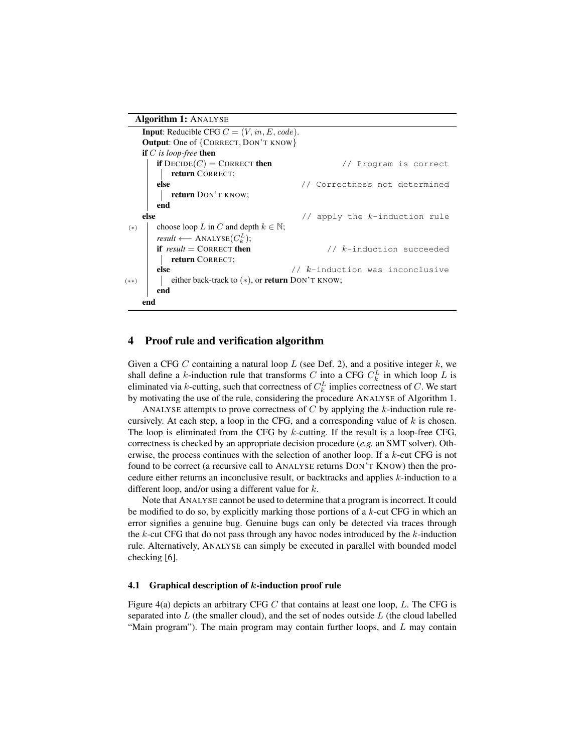### Algorithm 1: ANALYSE

```
Input: Reducible CFG C = (V, in, E, code).
   Output: One of {CORRECT, DON'T KNOW}
   if C is loop-free then
      if DECIDE(C) = CORRECT then // Program is correctreturn CORRECT;
      else // Correctness not determined
         return DON'T KNOW;
      end
   else \ell apply the k-induction rule
(*) choose loop L in C and depth k \in \mathbb{N};
      result \longleftarrow \text{ANALYSE}(C_k^L);if result = \text{CORRECT} then // k-induction succeeded
         return CORRECT;
      else \sqrt{k}-induction was inconclusive
(**) either back-track to (*), or return DON'T KNOW;
      end
   end
```
### 4 Proof rule and verification algorithm

Given a CFG C containing a natural loop  $L$  (see Def. 2), and a positive integer  $k$ , we shall define a k-induction rule that transforms C into a CFG  $C_k^L$  in which loop L is eliminated via k-cutting, such that correctness of  $C_k^L$  implies correctness of C. We start by motivating the use of the rule, considering the procedure ANALYSE of Algorithm 1.

ANALYSE attempts to prove correctness of  $C$  by applying the  $k$ -induction rule recursively. At each step, a loop in the CFG, and a corresponding value of  $k$  is chosen. The loop is eliminated from the CFG by  $k$ -cutting. If the result is a loop-free CFG, correctness is checked by an appropriate decision procedure (*e.g.* an SMT solver). Otherwise, the process continues with the selection of another loop. If a k-cut CFG is not found to be correct (a recursive call to ANALYSE returns DON'T KNOW) then the procedure either returns an inconclusive result, or backtracks and applies k-induction to a different loop, and/or using a different value for k.

Note that ANALYSE cannot be used to determine that a program is incorrect. It could be modified to do so, by explicitly marking those portions of a  $k$ -cut CFG in which an error signifies a genuine bug. Genuine bugs can only be detected via traces through the  $k$ -cut CFG that do not pass through any havoc nodes introduced by the  $k$ -induction rule. Alternatively, ANALYSE can simply be executed in parallel with bounded model checking [6].

#### 4.1 Graphical description of  $k$ -induction proof rule

Figure 4(a) depicts an arbitrary CFG C that contains at least one loop, L. The CFG is separated into  $L$  (the smaller cloud), and the set of nodes outside  $L$  (the cloud labelled "Main program"). The main program may contain further loops, and  $L$  may contain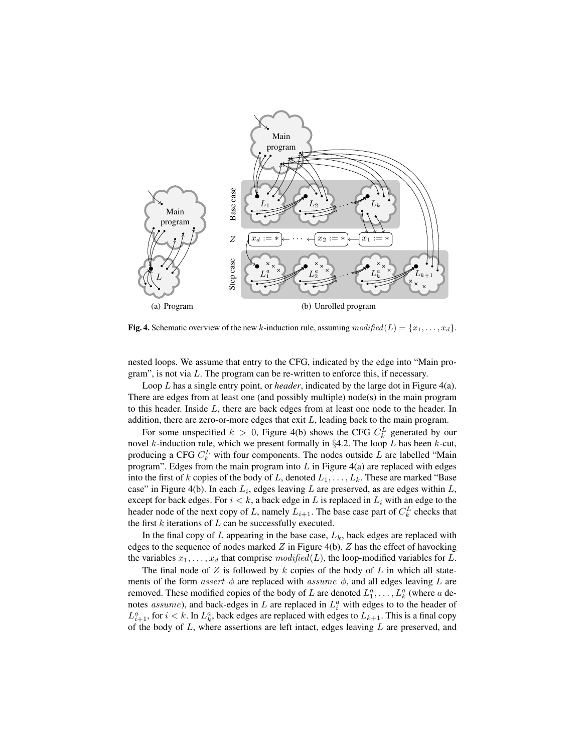

**Fig. 4.** Schematic overview of the new k-induction rule, assuming modified(L) =  $\{x_1, \ldots, x_d\}$ .

nested loops. We assume that entry to the CFG, indicated by the edge into "Main program", is not via  $L$ . The program can be re-written to enforce this, if necessary.

Loop L has a single entry point, or *header*, indicated by the large dot in Figure 4(a). There are edges from at least one (and possibly multiple) node(s) in the main program to this header. Inside L, there are back edges from at least one node to the header. In addition, there are zero-or-more edges that exit  $L$ , leading back to the main program.

For some unspecified  $k > 0$ , Figure 4(b) shows the CFG  $C_k^L$  generated by our novel k-induction rule, which we present formally in §4.2. The loop  $L$  has been  $k$ -cut, producing a CFG  $C_k^L$  with four components. The nodes outside L are labelled "Main program". Edges from the main program into  $L$  in Figure 4(a) are replaced with edges into the first of k copies of the body of L, denoted  $L_1, \ldots, L_k$ . These are marked "Base case" in Figure 4(b). In each  $L_i$ , edges leaving L are preserved, as are edges within L, except for back edges. For  $i < k$ , a back edge in L is replaced in  $L_i$  with an edge to the header node of the next copy of L, namely  $L_{i+1}$ . The base case part of  $C_k^L$  checks that the first  $k$  iterations of  $L$  can be successfully executed.

In the final copy of  $L$  appearing in the base case,  $L_k$ , back edges are replaced with edges to the sequence of nodes marked  $Z$  in Figure 4(b).  $Z$  has the effect of havocking the variables  $x_1, \ldots, x_d$  that comprise  $modified(L)$ , the loop-modified variables for L.

The final node of  $Z$  is followed by  $k$  copies of the body of  $L$  in which all statements of the form *assert*  $\phi$  are replaced with *assume*  $\phi$ , and all edges leaving L are removed. These modified copies of the body of L are denoted  $L_1^a, \ldots, L_k^a$  (where a denotes *assume*), and back-edges in L are replaced in  $L_i^a$  with edges to to the header of  $L_{i+1}^a$ , for  $i < k$ . In  $L_k^a$ , back edges are replaced with edges to  $L_{k+1}$ . This is a final copy of the body of  $L$ , where assertions are left intact, edges leaving  $L$  are preserved, and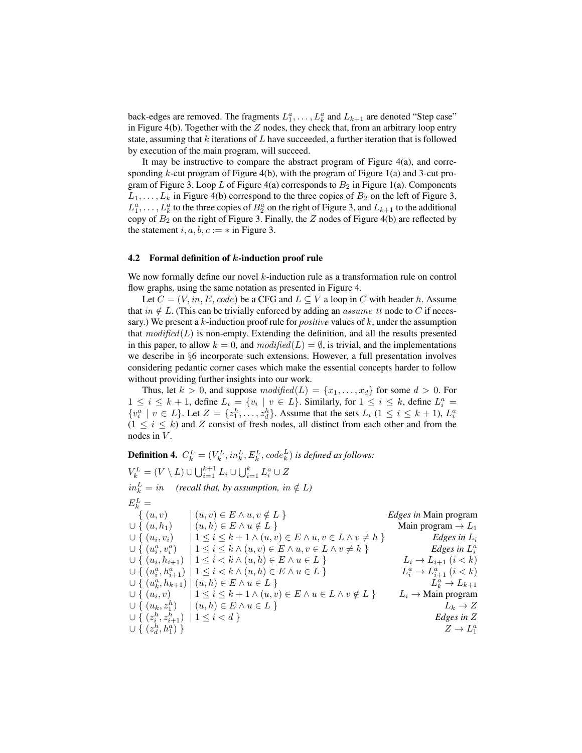back-edges are removed. The fragments  $L_1^a, \ldots, L_k^a$  and  $L_{k+1}$  are denoted "Step case" in Figure 4(b). Together with the  $Z$  nodes, they check that, from an arbitrary loop entry state, assuming that k iterations of  $L$  have succeeded, a further iteration that is followed by execution of the main program, will succeed.

It may be instructive to compare the abstract program of Figure 4(a), and corresponding  $k$ -cut program of Figure 4(b), with the program of Figure 1(a) and 3-cut program of Figure 3. Loop L of Figure 4(a) corresponds to  $B_2$  in Figure 1(a). Components  $L_1, \ldots, L_k$  in Figure 4(b) correspond to the three copies of  $B_2$  on the left of Figure 3,  $L_1^a, \ldots, L_k^a$  to the three copies of  $B_2^a$  on the right of Figure 3, and  $L_{k+1}$  to the additional copy of  $B_2$  on the right of Figure 3. Finally, the Z nodes of Figure 4(b) are reflected by the statement  $i, a, b, c := *$  in Figure 3.

#### 4.2 Formal definition of k-induction proof rule

We now formally define our novel  $k$ -induction rule as a transformation rule on control flow graphs, using the same notation as presented in Figure 4.

Let  $C = (V, in, E, code)$  be a CFG and  $L \subseteq V$  a loop in C with header h. Assume that in  $\notin L$ . (This can be trivially enforced by adding an *assume tt* node to C if necessary.) We present a k-induction proof rule for *positive* values of k, under the assumption that  $modified(L)$  is non-empty. Extending the definition, and all the results presented in this paper, to allow  $k = 0$ , and  $modified(L) = \emptyset$ , is trivial, and the implementations we describe in §6 incorporate such extensions. However, a full presentation involves considering pedantic corner cases which make the essential concepts harder to follow without providing further insights into our work.

Thus, let  $k > 0$ , and suppose  $modified(L) = \{x_1, \ldots, x_d\}$  for some  $d > 0$ . For  $1 \leq i \leq k+1$ , define  $L_i = \{v_i \mid v \in L\}$ . Similarly, for  $1 \leq i \leq k$ , define  $L_i^a =$  $\{v_i^a \mid v \in L\}$ . Let  $Z = \{z_1^h, \ldots, z_d^h\}$ . Assume that the sets  $L_i$   $(1 \le i \le k+1)$ ,  $L_i^a$  $(1 \leq i \leq k)$  and Z consist of fresh nodes, all distinct from each other and from the nodes in V.

**Definition 4.**  $C_k^L = (V_k^L, in_k^L, E_k^L, code_k^L)$  is defined as follows:  $V_k^L = (V \setminus L) \cup \bigcup_{i=1}^{k+1} L_i \cup \bigcup_{i=1}^{k} L_i^a \cup Z$  $in_k^L = in$  *(recall that, by assumption, in*  $\notin L$ *)*  $E_k^L =$  $\{(u, v) \mid (u, v) \in E \land u, v \notin L\}$  *Edges in* Main program<br>  $\cup \{(u, h_1) \mid (u, h) \in E \land u \notin L\}$  Main program  $\rightarrow L_1$  $|(u, h) \in E \land u \notin L$  } Main program  $\rightarrow L_1$  $\cup \{ (u_i, v_i) \}$  $| 1 \leq i \leq k+1 \land (u, v) \in E \land u, v \in L \land v \neq h \}$  *Edges in*  $L_i$  $\cup \{ (u_i^a, v_i^a) \mid 1 \leq i \leq k \land (u, v) \in E \land u, v \in L \land v \neq h \}$  *Edges in* L a i ∪ {  $(u_i, h_{i+1})$  | 1 ≤  $i < k \wedge (u, h) \in E \wedge u \in L$  }  $L_i \to L_{i+1}$   $(i < k)$ ∪ {  $(u_i^a, h_{i+1}^a)$  |  $1 \le i < k \wedge (u, h) \in E \wedge u \in L$  }  $L$  $a_i^a \rightarrow L_{i+1}^a$   $(i < k)$  $\cup \{ (u_k^n, h_{k+1}) \mid (u, h) \in E \land u \in L \}$   $L$  $\frac{a}{k} \to L_{k+1}$  $\cup \{ (u_i, v)$  $| 1 \le i \le k + 1 \land (u, v) \in E \land u \in L \land v \notin L$  }  $L_i \to$  Main program  $\cup \{ (u_k, z_1^h) \mid (u, h) \in E \land u \in L \}$   $L_k \to Z$ ∪ {  $(z_i^h, z_{i+1}^h)$  | 1 ≤ *i* < *d* } *Edges in* Z  $\cup$  {  $(z_d^h, h_1^a)$ ) }  $Z \to L$ a 1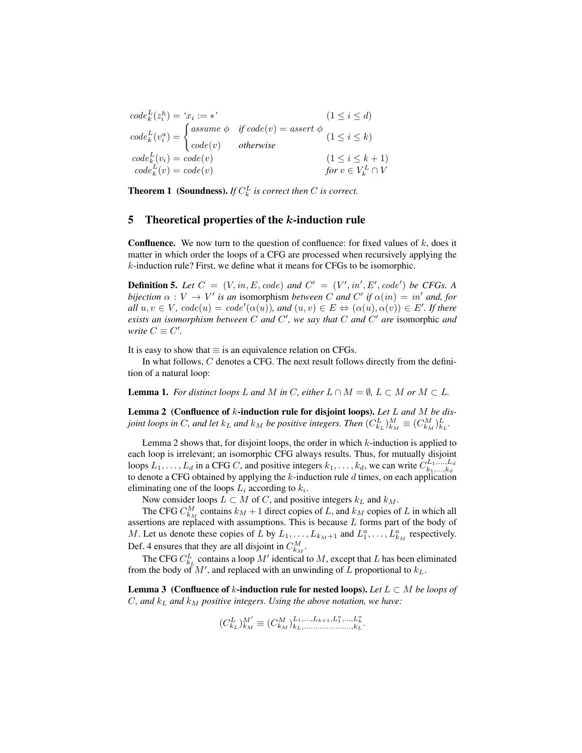$code_k^L(z_i^h) = 'x_i := *'$  (1 ≤ *i* ≤ *d*)  $code_k^L(v_i^a) = \begin{cases} assume \phi & \text{if code}(v) = assert \ \phi \end{cases}$ code(v) *otherwise*  $(1 \leq i \leq k)$  $code_k^L(v_i) = code(v)$   $(1 \le i \le k+1)$  $code_k^L$  $(v) = code(v)$  *for*  $v \in V$  $V^L_k \cap V$ 

**Theorem 1** (Soundness). *If*  $C_k^L$  *is correct then C is correct.* 

### 5 Theoretical properties of the k-induction rule

**Confluence.** We now turn to the question of confluence: for fixed values of  $k$ , does it matter in which order the loops of a CFG are processed when recursively applying the k-induction rule? First, we define what it means for CFGs to be isomorphic.

**Definition 5.** Let  $C = (V, in, E, code)$  and  $C' = (V', in', E', code')$  be CFGs. A *bijection*  $\alpha: V \to V'$  *is an* isomorphism *between* C *and* C' *if*  $\alpha(in) = in'$  *and, for*  $all u, v \in V$ ,  $code(u) = code'(\alpha(u))$ , and  $(u, v) \in E \Leftrightarrow (\alpha(u), \alpha(v)) \in E'$ . If there *exists an isomorphism between* C *and* C 0 *, we say that* C *and* C <sup>0</sup> *are* isomorphic *and write*  $C \equiv C'$ .

It is easy to show that  $\equiv$  is an equivalence relation on CFGs.

In what follows, C denotes a CFG. The next result follows directly from the definition of a natural loop:

**Lemma 1.** *For distinct loops* L and M in C, either  $L \cap M = \emptyset$ ,  $L \subset M$  or  $M \subset L$ .

Lemma 2 (Confluence of k-induction rule for disjoint loops). *Let* L *and* M *be disjoint loops in C, and let*  $k_L$  *and*  $k_M$  *be positive integers. Then*  $(C_{k_L}^L)_{k_M}^M \equiv (C_{k_M}^M)_{k_L}^L$ .

Lemma 2 shows that, for disjoint loops, the order in which  $k$ -induction is applied to each loop is irrelevant; an isomorphic CFG always results. Thus, for mutually disjoint loops  $L_1, \ldots, L_d$  in a CFG C, and positive integers  $k_1, \ldots, k_d$ , we can write  $C_{k_1, \ldots, k_d}^{L_1, \ldots, L_d}$ to denote a CFG obtained by applying the  $k$ -induction rule  $d$  times, on each application eliminating one of the loops  $L_i$  according to  $k_i$ .

Now consider loops  $L \subset M$  of C, and positive integers  $k_L$  and  $k_M$ .

The CFG  $C_{k_M}^M$  contains  $k_M + 1$  direct copies of L, and  $k_M$  copies of L in which all assertions are replaced with assumptions. This is because L forms part of the body of M. Let us denote these copies of L by  $L_1, \ldots, L_{k_M+1}$  and  $L_1^a, \ldots, L_{k_M}^a$  respectively. Def. 4 ensures that they are all disjoint in  $C_{k_M}^M$ .

The CFG  $C_{k_L}^L$  contains a loop  $M'$  identical to  $M$ , except that  $L$  has been eliminated from the body of  $M'$ , and replaced with an unwinding of L proportional to  $k<sub>L</sub>$ .

**Lemma 3** (Confluence of k-induction rule for nested loops). Let  $L \subset M$  be loops of  $C$ , and  $k<sub>L</sub>$  and  $k<sub>M</sub>$  positive integers. Using the above notation, we have:

$$
(C_{k_L}^L)_{k_M}^{M'} \equiv (C_{k_M}^M)_{k_L, \dots, k+1}^{L_1, \dots, L_{k+1}, L_1^a, \dots, L_k^a}.
$$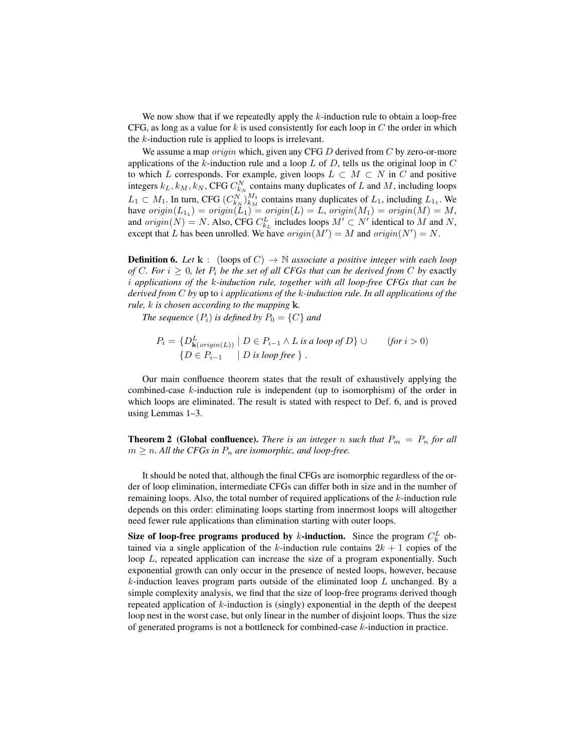We now show that if we repeatedly apply the k-induction rule to obtain a loop-free CFG, as long as a value for k is used consistently for each loop in C the order in which the  $k$ -induction rule is applied to loops is irrelevant.

We assume a map *origin* which, given any CFG  $D$  derived from  $C$  by zero-or-more applications of the k-induction rule and a loop L of D, tells us the original loop in  $C$ to which L corresponds. For example, given loops  $L \subset M \subset N$  in C and positive integers  $k_L, k_M, k_N$ , CFG  $C_{k_N}^N$  contains many duplicates of L and M, including loops  $L_1 \subset M_1$ . In turn, CFG  $(C_{k_N}^N)_{k_M}^{M_1}$  contains many duplicates of  $L_1$ , including  $L_{1_1}$ . We have  $origin(L_{1_1}) = origin(L_1) = origin(L) = L$ ,  $origin(M_1) = origin(M) = M$ , and  $origin(N) = N$ . Also, CFG  $C_{k_L}^L$  includes loops  $M' \subset N'$  identical to M and N, except that L has been unrolled. We have  $origin(M') = M$  and  $origin(N') = N$ .

**Definition 6.** Let **k** : (loops of  $C$ )  $\rightarrow \mathbb{N}$  *associate a positive integer with each loop of* C. For  $i > 0$ , let  $P_i$  be the set of all CFGs that can be derived from C by exactly i *applications of the* k*-induction rule, together with all loop-free CFGs that can be derived from* C *by* up to i *applications of the* k*-induction rule. In all applications of the rule,* k *is chosen according to the mapping* k*.*

*The sequence*  $(P_i)$  *is defined by*  $P_0 = \{C\}$  *and* 

$$
P_i = \{ D_{\mathbf{k}(origin(L))}^L \mid D \in P_{i-1} \land L \text{ is a loop of } D \} \cup \qquad (for \, i > 0)
$$
\n
$$
\{ D \in P_{i-1} \mid D \text{ is loop free } \} .
$$

Our main confluence theorem states that the result of exhaustively applying the combined-case k-induction rule is independent (up to isomorphism) of the order in which loops are eliminated. The result is stated with respect to Def. 6, and is proved using Lemmas 1–3.

**Theorem 2 (Global confluence).** *There is an integer* n *such that*  $P_m = P_n$  *for all*  $m \geq n$ . All the CFGs in  $P_n$  are isomorphic, and loop-free.

It should be noted that, although the final CFGs are isomorphic regardless of the order of loop elimination, intermediate CFGs can differ both in size and in the number of remaining loops. Also, the total number of required applications of the k-induction rule depends on this order: eliminating loops starting from innermost loops will altogether need fewer rule applications than elimination starting with outer loops.

Size of loop-free programs produced by k-induction. Since the program  $C_k^L$  obtained via a single application of the k-induction rule contains  $2k + 1$  copies of the loop L, repeated application can increase the size of a program exponentially. Such exponential growth can only occur in the presence of nested loops, however, because k-induction leaves program parts outside of the eliminated loop  $L$  unchanged. By a simple complexity analysis, we find that the size of loop-free programs derived though repeated application of  $k$ -induction is (singly) exponential in the depth of the deepest loop nest in the worst case, but only linear in the number of disjoint loops. Thus the size of generated programs is not a bottleneck for combined-case k-induction in practice.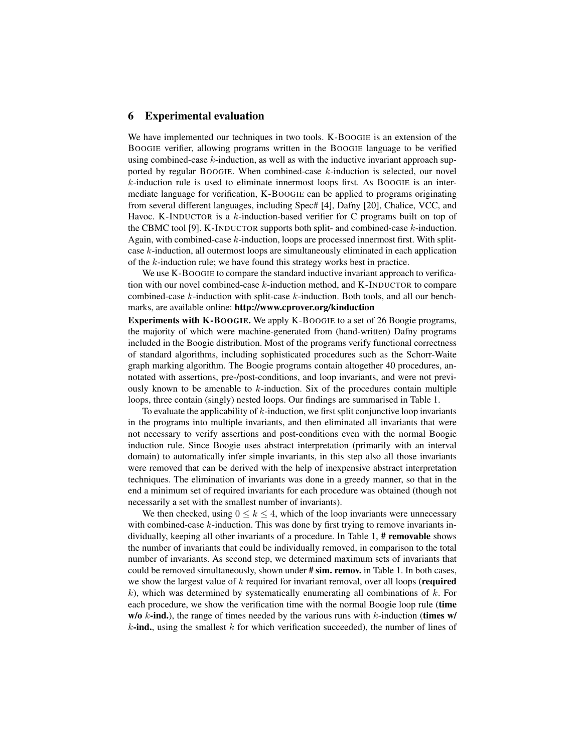### 6 Experimental evaluation

We have implemented our techniques in two tools. K-BOOGIE is an extension of the BOOGIE verifier, allowing programs written in the BOOGIE language to be verified using combined-case  $k$ -induction, as well as with the inductive invariant approach supported by regular BOOGIE. When combined-case k-induction is selected, our novel k-induction rule is used to eliminate innermost loops first. As BOOGIE is an intermediate language for verification, K-BOOGIE can be applied to programs originating from several different languages, including Spec# [4], Dafny [20], Chalice, VCC, and Havoc. K-INDUCTOR is a k-induction-based verifier for C programs built on top of the CBMC tool [9]. K-INDUCTOR supports both split- and combined-case  $k$ -induction. Again, with combined-case  $k$ -induction, loops are processed innermost first. With splitcase k-induction, all outermost loops are simultaneously eliminated in each application of the k-induction rule; we have found this strategy works best in practice.

We use K-BOOGIE to compare the standard inductive invariant approach to verification with our novel combined-case  $k$ -induction method, and  $K$ -INDUCTOR to compare combined-case  $k$ -induction with split-case  $k$ -induction. Both tools, and all our benchmarks, are available online: http://www.cprover.org/kinduction

Experiments with K-BOOGIE. We apply K-BOOGIE to a set of 26 Boogie programs, the majority of which were machine-generated from (hand-written) Dafny programs included in the Boogie distribution. Most of the programs verify functional correctness of standard algorithms, including sophisticated procedures such as the Schorr-Waite graph marking algorithm. The Boogie programs contain altogether 40 procedures, annotated with assertions, pre-/post-conditions, and loop invariants, and were not previously known to be amenable to  $k$ -induction. Six of the procedures contain multiple loops, three contain (singly) nested loops. Our findings are summarised in Table 1.

To evaluate the applicability of  $k$ -induction, we first split conjunctive loop invariants in the programs into multiple invariants, and then eliminated all invariants that were not necessary to verify assertions and post-conditions even with the normal Boogie induction rule. Since Boogie uses abstract interpretation (primarily with an interval domain) to automatically infer simple invariants, in this step also all those invariants were removed that can be derived with the help of inexpensive abstract interpretation techniques. The elimination of invariants was done in a greedy manner, so that in the end a minimum set of required invariants for each procedure was obtained (though not necessarily a set with the smallest number of invariants).

We then checked, using  $0 \le k \le 4$ , which of the loop invariants were unnecessary with combined-case  $k$ -induction. This was done by first trying to remove invariants individually, keeping all other invariants of a procedure. In Table 1, # removable shows the number of invariants that could be individually removed, in comparison to the total number of invariants. As second step, we determined maximum sets of invariants that could be removed simultaneously, shown under  $\# \text{sim.}$  remov. in Table 1. In both cases, we show the largest value of  $k$  required for invariant removal, over all loops (required  $k$ ), which was determined by systematically enumerating all combinations of k. For each procedure, we show the verification time with the normal Boogie loop rule (time  $w/o$  k-ind.), the range of times needed by the various runs with k-induction (times  $w/b$ )  $k$ -ind., using the smallest k for which verification succeeded), the number of lines of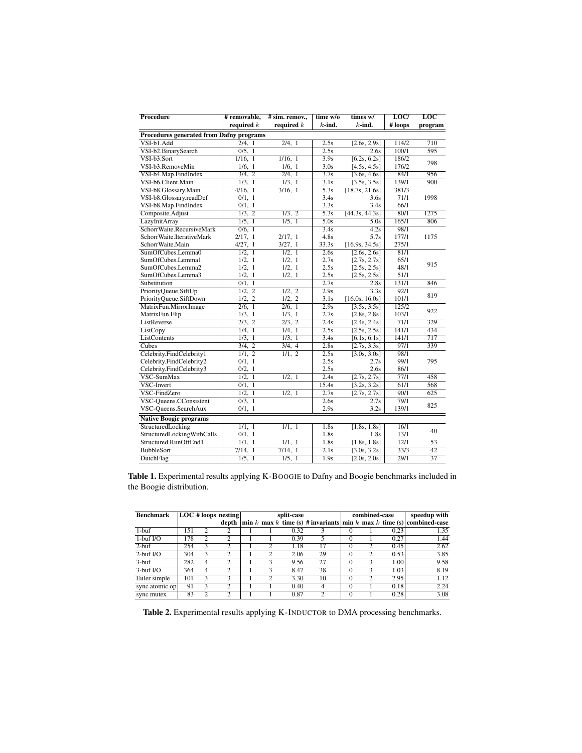| Procedure                                | # removable,<br>required $k$ | # sim. remov.,<br>required $k$ | time w/o<br>$k$ -ind. | times w/<br>$k$ -ind.     | <b>LOC/</b><br># loops | LOC             |
|------------------------------------------|------------------------------|--------------------------------|-----------------------|---------------------------|------------------------|-----------------|
|                                          |                              |                                |                       |                           |                        | program         |
| Procedures generated from Dafny programs |                              |                                |                       |                           |                        |                 |
| VSI-b1.Add                               | $\overline{2/4, 1}$          | $\overline{2/4.1}$             | 2.5s                  | [2.6s, 2.9s]              | 114/2                  | 710             |
| VSI-b2.BinarySearch                      | 0/5, 1                       |                                | 2.5s                  | 2.6s                      | 100/1                  | 595             |
| VSI-b3.Sort                              | 1/16, 1                      | 1/16, 1                        | 3.9s                  | [6.2s, 6.2s]              | 186/2                  | 798             |
| VSI-b3.RemoveMin                         | 1/6, 1                       | 1/6, 1                         | 3.0s                  | [4.5s, 4.5s]              | 176/2                  |                 |
| VSI-b4.Map.FindIndex                     | $\frac{3}{4}$ , 2            | $\overline{2/4, 1}$            | $\overline{3.7s}$     | [3.6s, 4.6s]              | 84/1                   | 956             |
| VSI-b6.Client.Main                       | 1/3, 1                       | 1/3, 1                         | $\overline{3.1s}$     | [3.5s, 3.5s]              | 139/1                  | 900             |
| VSI-b8.Glossarv.Main                     | 4/16, 1                      | 3/16, 1                        | $\overline{5.3s}$     | [18.7s, 21.6s]            | 381/3                  |                 |
| VSI-b8.Glossary.readDef                  | 0/1, 1                       |                                | 3.4s                  | 3.6s                      | 71/1                   | 1998            |
| VSI-b8.Map.FindIndex                     | 0/1, 1                       |                                | 3.3s                  | 3.4s                      | 66/1                   |                 |
| Composite.Adjust                         | 1/3, 2                       | 1/3, 2                         | 5.3s                  | [44.3s, 44.3s]            | 80/1                   | 1275            |
| LazyInitArray                            | 1/5, 1                       | 1/5, 1                         | $\overline{5.0s}$     | $\overline{5.0s}$         | 165/1                  | 806             |
| Schorr Waite.RecursiveMark               | 0/6, 1                       |                                | $\overline{3.4s}$     | 4.2s                      | 98/1                   |                 |
| Schorr Waite. Iterative Mark             | 2/17, 1                      | 2/17, 1                        | 4.8s                  | 5.7s                      | 177/1                  | 1175            |
| SchorrWaite.Main                         | 4/27, 1                      | 3/27, 1                        | 33.3s                 | [16.9s, 34.5s]            | 275/1                  |                 |
| SumOfCubes.Lemma0                        | 1/2, 1                       | 1/2, 1                         | 2.6s                  | [2.6s, 2.6s]              | 81/1                   |                 |
| SumOfCubes.Lemma1                        | 1/2, 1                       | 1/2, 1                         | 2.7s                  | [2.7s, 2.7s]              | 65/1                   |                 |
| SumOfCubes.Lemma2                        | 1/2, 1                       | 1/2, 1                         | 2.5s                  | [2.5s, 2.5s]              | 48/1                   | 915             |
| SumOfCubes.Lemma3                        | 1/2, 1                       | 1/2, 1                         | 2.5s                  | [2.5s, 2.5s]              | 51/1                   |                 |
| Substitution                             | 0/1, 1                       |                                | 2.7s                  | 2.8s                      | 131/1                  | 846             |
| PriorityQueue.SiftUp                     | 1/2, 2                       | 1/2, 2                         | 2.9s                  | $\overline{3.3s}$         | 92/1                   |                 |
| PriorityQueue.SiftDown                   | 1/2, 2                       | 1/2, 2                         | 3.1s                  | [16.0s, 16.0s]            | 101/1                  | 819             |
| MatrixFun.MirrorImage                    | $\overline{2/6, 1}$          | $\overline{2/6}, 1$            | 2.9s                  | [3.5s, 3.5s]              | 125/2                  |                 |
| MatrixFun.Flip                           | 1/3, 1                       | 1/3, 1                         | 2.7s                  | [2.8s, 2.8s]              | 103/1                  | 922             |
| ListReverse                              | 2/3, 2<br>2/3, 2             |                                | 2.4s                  | $\sqrt{2.4s}$ , 2.4s      | 71/1                   | 329             |
| ListCopy                                 | 1/4, 1                       | 1/4, 1                         | 2.5s                  | [2.5s, 2.5s]              | 141/1                  | 434             |
| ListContents                             | 1/3, 1                       | 1/3, 1                         | $\overline{3.4s}$     | [6.1s, 6.1s]              | 141/1                  | 717             |
| Cubes                                    | 3/4, 2                       | 3/4, 4                         | 2.8s                  | $\overline{[2.7s, 3.3s]}$ | 97/1                   | 339             |
| Celebrity.FindCelebrity1                 | 1/1, 2                       | 1/1, 2                         | 2.5s                  | [3.0s, 3.0s]              | 98/1                   |                 |
| Celebrity.FindCelebrity2                 | 0/1, 1                       |                                | 2.5s                  | 2.7s                      | 99/1                   | 795             |
| Celebrity.FindCelebrity3                 | 0/2, 1                       |                                | 2.5s                  | 2.6s                      | 86/1                   |                 |
| VSC-SumMax                               | $\overline{1/2}, 1$          | 1/2, 1                         | 2.4s                  | [2.7s, 2.7s]              | 77/1                   | 458             |
| VSC-Invert                               | 0/1, 1                       |                                | 15.4s                 | [3.2s, 3.2s]              | 61/1                   | 568             |
| VSC-FindZero                             | 1/2, 1                       | 1/2, 1                         | $\overline{2.7s}$     | [2.7s, 2.7s]              | 90/1                   | 625             |
| VSC-Queens.CConsistent                   | 0/3, 1                       |                                | 2.6s                  | 2.7s                      | 79/1                   |                 |
| VSC-Queens.SearchAux                     | 0/1, 1                       |                                | 2.9s                  | 3.2s                      | 139/1                  | 825             |
| <b>Native Boogie programs</b>            |                              |                                |                       |                           |                        |                 |
| StructuredLocking                        | 1/1, 1                       | 1/1, 1                         | 1.8s                  | [1.8s, 1.8s]              | 16/1                   |                 |
| StructuredLockingWithCalls               | 0/1, 1                       |                                | 1.8s                  | 1.8s                      | 13/1                   | 40              |
| Structured.RunOffEnd1                    | 1/1, 1                       | 1/1, 1                         | 1.8s                  | [1.8s, 1.8s]              | 12/1                   | 53              |
| <b>BubbleSort</b>                        | 7/14, 1                      | 7/14, 1                        | 2.1s                  | [3.0s, 3.2s]              | 33/3                   | 42              |
| DutchFlag                                | 1/5, 1                       | 1/5, 1                         | 1.9s                  | [2.0s, 2.0s]              | 29/1                   | $\overline{37}$ |

Table 1. Experimental results applying K-BOOGIE to Dafny and Boogie benchmarks included in the Boogie distribution.

| Benchmark      |     | $LOC$ #loops nesting | split-case |   |      | combined-case |          |   | speedup with |                                                                      |
|----------------|-----|----------------------|------------|---|------|---------------|----------|---|--------------|----------------------------------------------------------------------|
|                |     | depth                |            |   |      |               |          |   |              | min k max k time (s) # invariants min k max k time (s) combined-case |
| $1$ -buf       | 151 | າ                    |            |   | 0.32 |               |          |   | 0.23         | 1.35                                                                 |
| $1$ -buf $I/O$ | 178 | $\overline{c}$       |            |   | 0.39 |               | $\Omega$ |   | 0.27         | 1.44                                                                 |
| $2$ -buf       | 254 | $\overline{c}$       |            | ာ | 1.18 | 17            |          | 2 | 0.45         | 2.62                                                                 |
| $2$ -buf I/O   | 304 | ◠                    |            |   | 2.06 | 29            |          |   | 0.53         | 3.85                                                                 |
| $3$ -buf       | 282 | $\overline{c}$       |            | ٩ | 9.56 | 27            | $\Omega$ | 3 | 1.00         | 9.58                                                                 |
| $3$ -buf I/O   | 364 | $\overline{c}$       |            | ٦ | 8.47 | 38            |          | ٦ | 1.03         | 8.19                                                                 |
| Euler simple   | 101 | 3                    |            |   | 3.30 | 10            | $\Omega$ | 2 | 2.95         | 1.12                                                                 |
| sync atomic op | 91  | C                    |            |   | 0.40 | 4             | $\Omega$ |   | 0.18         | 2.24                                                                 |
| sync mutex     | 83  | ◠                    |            |   | 0.87 | ↑             |          |   | 0.28         | 3.08                                                                 |

Table 2. Experimental results applying K-INDUCTOR to DMA processing benchmarks.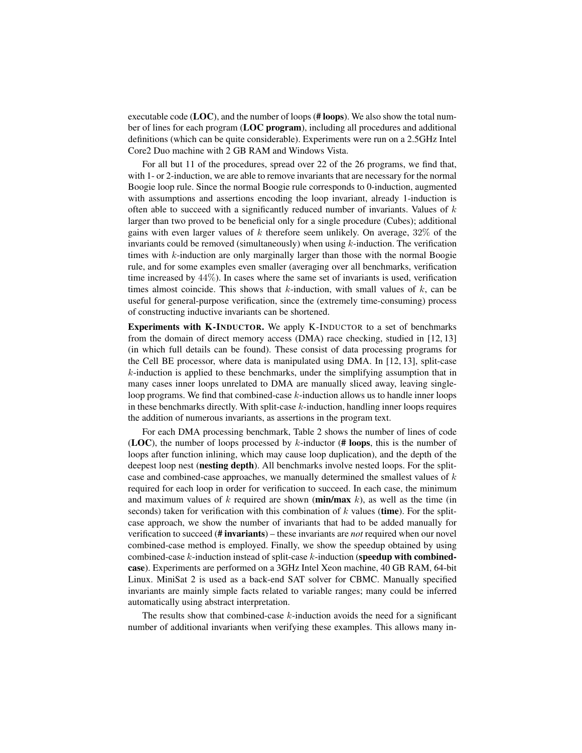executable code  $(LOC)$ , and the number of loops  $(\# loops)$ . We also show the total number of lines for each program (LOC program), including all procedures and additional definitions (which can be quite considerable). Experiments were run on a 2.5GHz Intel Core2 Duo machine with 2 GB RAM and Windows Vista.

For all but 11 of the procedures, spread over 22 of the 26 programs, we find that, with 1- or 2-induction, we are able to remove invariants that are necessary for the normal Boogie loop rule. Since the normal Boogie rule corresponds to 0-induction, augmented with assumptions and assertions encoding the loop invariant, already 1-induction is often able to succeed with a significantly reduced number of invariants. Values of  $k$ larger than two proved to be beneficial only for a single procedure (Cubes); additional gains with even larger values of  $k$  therefore seem unlikely. On average,  $32\%$  of the invariants could be removed (simultaneously) when using  $k$ -induction. The verification times with k-induction are only marginally larger than those with the normal Boogie rule, and for some examples even smaller (averaging over all benchmarks, verification time increased by 44%). In cases where the same set of invariants is used, verification times almost coincide. This shows that  $k$ -induction, with small values of  $k$ , can be useful for general-purpose verification, since the (extremely time-consuming) process of constructing inductive invariants can be shortened.

Experiments with K-INDUCTOR. We apply K-INDUCTOR to a set of benchmarks from the domain of direct memory access (DMA) race checking, studied in [12, 13] (in which full details can be found). These consist of data processing programs for the Cell BE processor, where data is manipulated using DMA. In [12, 13], split-case k-induction is applied to these benchmarks, under the simplifying assumption that in many cases inner loops unrelated to DMA are manually sliced away, leaving singleloop programs. We find that combined-case  $k$ -induction allows us to handle inner loops in these benchmarks directly. With split-case  $k$ -induction, handling inner loops requires the addition of numerous invariants, as assertions in the program text.

For each DMA processing benchmark, Table 2 shows the number of lines of code (LOC), the number of loops processed by  $k$ -inductor (# loops, this is the number of loops after function inlining, which may cause loop duplication), and the depth of the deepest loop nest (nesting depth). All benchmarks involve nested loops. For the splitcase and combined-case approaches, we manually determined the smallest values of  $k$ required for each loop in order for verification to succeed. In each case, the minimum and maximum values of k required are shown (**min/max** k), as well as the time (in seconds) taken for verification with this combination of  $k$  values (time). For the splitcase approach, we show the number of invariants that had to be added manually for verification to succeed (# invariants) – these invariants are *not* required when our novel combined-case method is employed. Finally, we show the speedup obtained by using combined-case  $k$ -induction instead of split-case  $k$ -induction (**speedup with combined**case). Experiments are performed on a 3GHz Intel Xeon machine, 40 GB RAM, 64-bit Linux. MiniSat 2 is used as a back-end SAT solver for CBMC. Manually specified invariants are mainly simple facts related to variable ranges; many could be inferred automatically using abstract interpretation.

The results show that combined-case  $k$ -induction avoids the need for a significant number of additional invariants when verifying these examples. This allows many in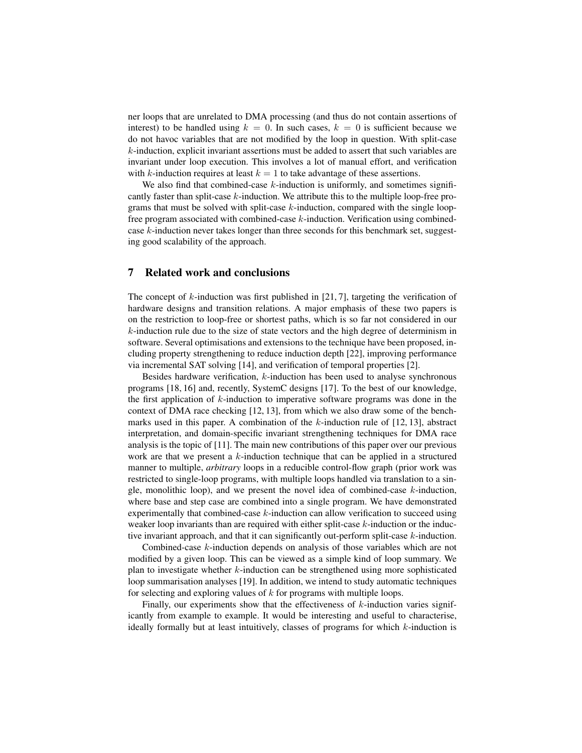ner loops that are unrelated to DMA processing (and thus do not contain assertions of interest) to be handled using  $k = 0$ . In such cases,  $k = 0$  is sufficient because we do not havoc variables that are not modified by the loop in question. With split-case k-induction, explicit invariant assertions must be added to assert that such variables are invariant under loop execution. This involves a lot of manual effort, and verification with k-induction requires at least  $k = 1$  to take advantage of these assertions.

We also find that combined-case  $k$ -induction is uniformly, and sometimes significantly faster than split-case  $k$ -induction. We attribute this to the multiple loop-free programs that must be solved with split-case  $k$ -induction, compared with the single loopfree program associated with combined-case k-induction. Verification using combinedcase k-induction never takes longer than three seconds for this benchmark set, suggesting good scalability of the approach.

## 7 Related work and conclusions

The concept of  $k$ -induction was first published in [21, 7], targeting the verification of hardware designs and transition relations. A major emphasis of these two papers is on the restriction to loop-free or shortest paths, which is so far not considered in our  $k$ -induction rule due to the size of state vectors and the high degree of determinism in software. Several optimisations and extensions to the technique have been proposed, including property strengthening to reduce induction depth [22], improving performance via incremental SAT solving [14], and verification of temporal properties [2].

Besides hardware verification,  $k$ -induction has been used to analyse synchronous programs [18, 16] and, recently, SystemC designs [17]. To the best of our knowledge, the first application of  $k$ -induction to imperative software programs was done in the context of DMA race checking [12, 13], from which we also draw some of the benchmarks used in this paper. A combination of the  $k$ -induction rule of  $[12, 13]$ , abstract interpretation, and domain-specific invariant strengthening techniques for DMA race analysis is the topic of [11]. The main new contributions of this paper over our previous work are that we present a  $k$ -induction technique that can be applied in a structured manner to multiple, *arbitrary* loops in a reducible control-flow graph (prior work was restricted to single-loop programs, with multiple loops handled via translation to a single, monolithic loop), and we present the novel idea of combined-case  $k$ -induction, where base and step case are combined into a single program. We have demonstrated experimentally that combined-case  $k$ -induction can allow verification to succeed using weaker loop invariants than are required with either split-case  $k$ -induction or the inductive invariant approach, and that it can significantly out-perform split-case k-induction.

Combined-case k-induction depends on analysis of those variables which are not modified by a given loop. This can be viewed as a simple kind of loop summary. We plan to investigate whether  $k$ -induction can be strengthened using more sophisticated loop summarisation analyses [19]. In addition, we intend to study automatic techniques for selecting and exploring values of  $k$  for programs with multiple loops.

Finally, our experiments show that the effectiveness of  $k$ -induction varies significantly from example to example. It would be interesting and useful to characterise, ideally formally but at least intuitively, classes of programs for which  $k$ -induction is